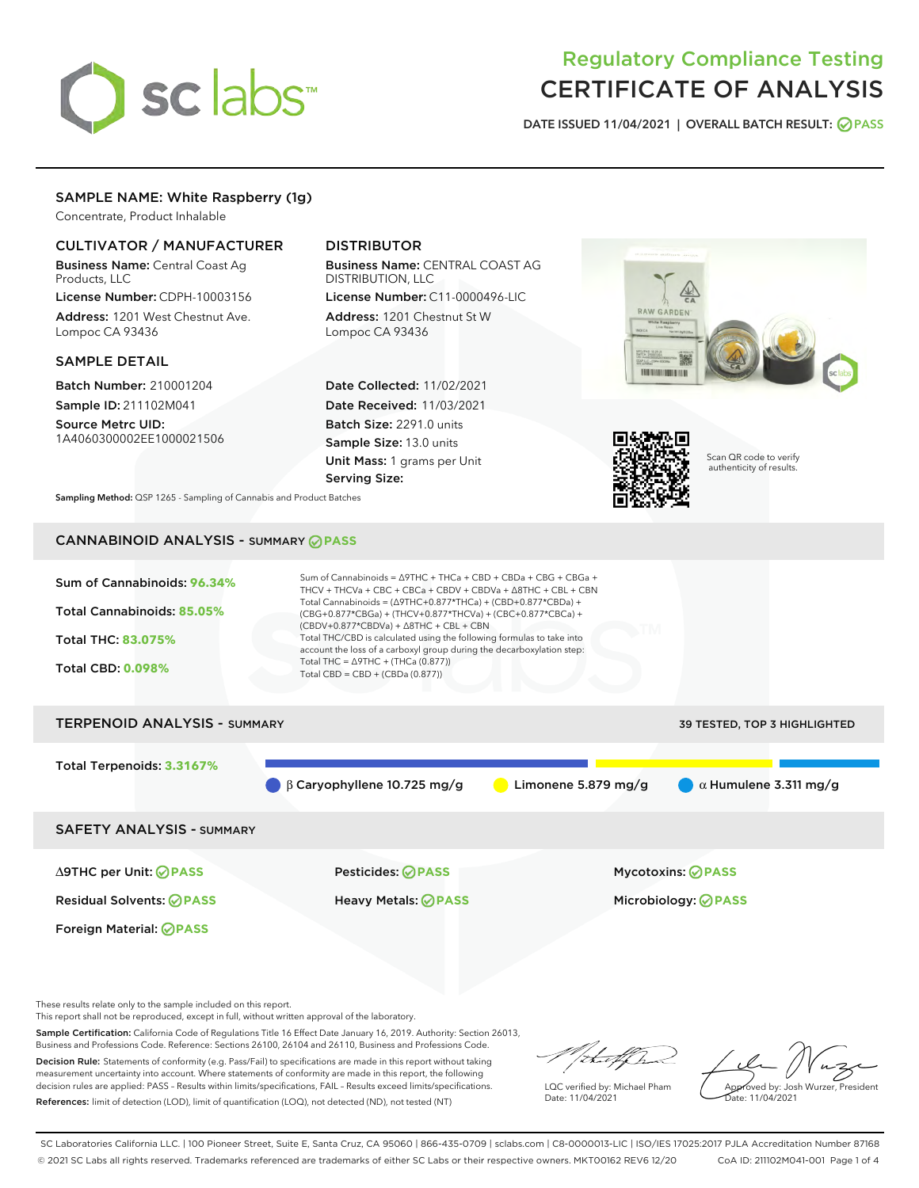# sclabs<sup>\*</sup>

# Regulatory Compliance Testing CERTIFICATE OF ANALYSIS

DATE ISSUED 11/04/2021 | OVERALL BATCH RESULT: @ PASS

# SAMPLE NAME: White Raspberry (1g)

Concentrate, Product Inhalable

# CULTIVATOR / MANUFACTURER

Business Name: Central Coast Ag Products, LLC

License Number: CDPH-10003156 Address: 1201 West Chestnut Ave. Lompoc CA 93436

## SAMPLE DETAIL

Batch Number: 210001204 Sample ID: 211102M041

Source Metrc UID: 1A4060300002EE1000021506

# DISTRIBUTOR

Business Name: CENTRAL COAST AG DISTRIBUTION, LLC License Number: C11-0000496-LIC

Address: 1201 Chestnut St W Lompoc CA 93436

Date Collected: 11/02/2021 Date Received: 11/03/2021 Batch Size: 2291.0 units Sample Size: 13.0 units Unit Mass: 1 grams per Unit Serving Size:





Scan QR code to verify authenticity of results.

Sampling Method: QSP 1265 - Sampling of Cannabis and Product Batches

# CANNABINOID ANALYSIS - SUMMARY **PASS**



These results relate only to the sample included on this report.

This report shall not be reproduced, except in full, without written approval of the laboratory.

Sample Certification: California Code of Regulations Title 16 Effect Date January 16, 2019. Authority: Section 26013, Business and Professions Code. Reference: Sections 26100, 26104 and 26110, Business and Professions Code. Decision Rule: Statements of conformity (e.g. Pass/Fail) to specifications are made in this report without taking

measurement uncertainty into account. Where statements of conformity are made in this report, the following decision rules are applied: PASS – Results within limits/specifications, FAIL – Results exceed limits/specifications. References: limit of detection (LOD), limit of quantification (LOQ), not detected (ND), not tested (NT)

that f(ha

LQC verified by: Michael Pham Date: 11/04/2021

Approved by: Josh Wurzer, President ate: 11/04/2021

SC Laboratories California LLC. | 100 Pioneer Street, Suite E, Santa Cruz, CA 95060 | 866-435-0709 | sclabs.com | C8-0000013-LIC | ISO/IES 17025:2017 PJLA Accreditation Number 87168 © 2021 SC Labs all rights reserved. Trademarks referenced are trademarks of either SC Labs or their respective owners. MKT00162 REV6 12/20 CoA ID: 211102M041-001 Page 1 of 4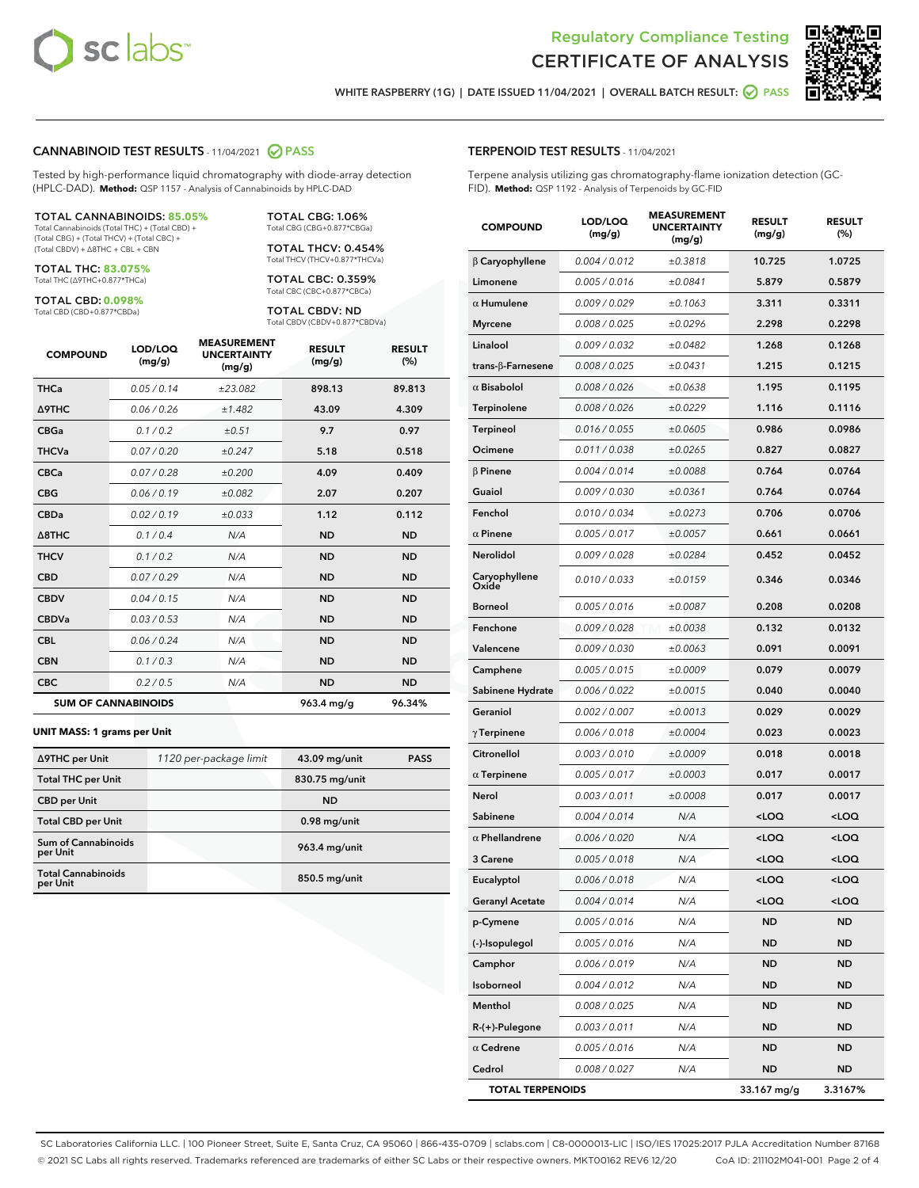



WHITE RASPBERRY (1G) | DATE ISSUED 11/04/2021 | OVERALL BATCH RESULT: O PASS

#### CANNABINOID TEST RESULTS - 11/04/2021 2 PASS

Tested by high-performance liquid chromatography with diode-array detection (HPLC-DAD). **Method:** QSP 1157 - Analysis of Cannabinoids by HPLC-DAD

#### TOTAL CANNABINOIDS: **85.05%**

Total Cannabinoids (Total THC) + (Total CBD) + (Total CBG) + (Total THCV) + (Total CBC) + (Total CBDV) + ∆8THC + CBL + CBN

TOTAL THC: **83.075%** Total THC (∆9THC+0.877\*THCa)

TOTAL CBD: **0.098%**

Total CBD (CBD+0.877\*CBDa)

TOTAL CBG: 1.06% Total CBG (CBG+0.877\*CBGa)

TOTAL THCV: 0.454% Total THCV (THCV+0.877\*THCVa)

TOTAL CBC: 0.359% Total CBC (CBC+0.877\*CBCa)

TOTAL CBDV: ND Total CBDV (CBDV+0.877\*CBDVa)

| <b>COMPOUND</b>  | LOD/LOQ<br>(mg/g)          | <b>MEASUREMENT</b><br><b>UNCERTAINTY</b><br>(mg/g) | <b>RESULT</b><br>(mg/g) | <b>RESULT</b><br>(%) |
|------------------|----------------------------|----------------------------------------------------|-------------------------|----------------------|
| <b>THCa</b>      | 0.05 / 0.14                | ±23.082                                            | 898.13                  | 89.813               |
| <b>A9THC</b>     | 0.06 / 0.26                | ±1.482                                             | 43.09                   | 4.309                |
| <b>CBGa</b>      | 0.1/0.2                    | ±0.51                                              | 9.7                     | 0.97                 |
| <b>THCVa</b>     | 0.07/0.20                  | ±0.247                                             | 5.18                    | 0.518                |
| <b>CBCa</b>      | 0.07 / 0.28                | ±0.200                                             | 4.09                    | 0.409                |
| <b>CBG</b>       | 0.06/0.19                  | ±0.082                                             | 2.07                    | 0.207                |
| <b>CBDa</b>      | 0.02/0.19                  | ±0.033                                             | 1.12                    | 0.112                |
| $\triangle$ 8THC | 0.1/0.4                    | N/A                                                | <b>ND</b>               | <b>ND</b>            |
| <b>THCV</b>      | 0.1/0.2                    | N/A                                                | <b>ND</b>               | <b>ND</b>            |
| <b>CBD</b>       | 0.07/0.29                  | N/A                                                | <b>ND</b>               | <b>ND</b>            |
| <b>CBDV</b>      | 0.04 / 0.15                | N/A                                                | <b>ND</b>               | <b>ND</b>            |
| <b>CBDVa</b>     | 0.03 / 0.53                | N/A                                                | <b>ND</b>               | <b>ND</b>            |
| <b>CBL</b>       | 0.06 / 0.24                | N/A                                                | <b>ND</b>               | <b>ND</b>            |
| <b>CBN</b>       | 0.1 / 0.3                  | N/A                                                | <b>ND</b>               | <b>ND</b>            |
| <b>CBC</b>       | 0.2 / 0.5                  | N/A                                                | <b>ND</b>               | <b>ND</b>            |
|                  | <b>SUM OF CANNABINOIDS</b> |                                                    | 963.4 mg/g              | 96.34%               |

#### **UNIT MASS: 1 grams per Unit**

| ∆9THC per Unit                        | 1120 per-package limit | 43.09 mg/unit   | <b>PASS</b> |
|---------------------------------------|------------------------|-----------------|-------------|
| <b>Total THC per Unit</b>             |                        | 830.75 mg/unit  |             |
| <b>CBD per Unit</b>                   |                        | <b>ND</b>       |             |
| <b>Total CBD per Unit</b>             |                        | $0.98$ mg/unit  |             |
| Sum of Cannabinoids<br>per Unit       |                        | 963.4 mg/unit   |             |
| <b>Total Cannabinoids</b><br>per Unit |                        | $850.5$ mg/unit |             |

#### TERPENOID TEST RESULTS - 11/04/2021

Terpene analysis utilizing gas chromatography-flame ionization detection (GC-FID). **Method:** QSP 1192 - Analysis of Terpenoids by GC-FID

| <b>COMPOUND</b>         | LOD/LOQ<br>(mg/g) | <b>MEASUREMENT</b><br><b>UNCERTAINTY</b><br>(mg/g) | <b>RESULT</b><br>(mg/g)                         | <b>RESULT</b><br>(%) |
|-------------------------|-------------------|----------------------------------------------------|-------------------------------------------------|----------------------|
| $\beta$ Caryophyllene   | 0.004 / 0.012     | ±0.3818                                            | 10.725                                          | 1.0725               |
| Limonene                | 0.005 / 0.016     | ±0.0841                                            | 5.879                                           | 0.5879               |
| $\alpha$ Humulene       | 0.009/0.029       | ±0.1063                                            | 3.311                                           | 0.3311               |
| <b>Myrcene</b>          | 0.008 / 0.025     | ±0.0296                                            | 2.298                                           | 0.2298               |
| Linalool                | 0.009 / 0.032     | ±0.0482                                            | 1.268                                           | 0.1268               |
| trans-ß-Farnesene       | 0.008 / 0.025     | ±0.0431                                            | 1.215                                           | 0.1215               |
| $\alpha$ Bisabolol      | 0.008 / 0.026     | ±0.0638                                            | 1.195                                           | 0.1195               |
| Terpinolene             | 0.008 / 0.026     | ±0.0229                                            | 1.116                                           | 0.1116               |
| Terpineol               | 0.016 / 0.055     | ±0.0605                                            | 0.986                                           | 0.0986               |
| Ocimene                 | 0.011 / 0.038     | ±0.0265                                            | 0.827                                           | 0.0827               |
| $\beta$ Pinene          | 0.004 / 0.014     | ±0.0088                                            | 0.764                                           | 0.0764               |
| Guaiol                  | 0.009 / 0.030     | ±0.0361                                            | 0.764                                           | 0.0764               |
| Fenchol                 | 0.010 / 0.034     | ±0.0273                                            | 0.706                                           | 0.0706               |
| $\alpha$ Pinene         | 0.005 / 0.017     | ±0.0057                                            | 0.661                                           | 0.0661               |
| Nerolidol               | 0.009 / 0.028     | ±0.0284                                            | 0.452                                           | 0.0452               |
| Caryophyllene<br>Oxide  | 0.010 / 0.033     | ±0.0159                                            | 0.346                                           | 0.0346               |
| <b>Borneol</b>          | 0.005 / 0.016     | ±0.0087                                            | 0.208                                           | 0.0208               |
| Fenchone                | 0.009 / 0.028     | ±0.0038                                            | 0.132                                           | 0.0132               |
| Valencene               | 0.009 / 0.030     | ±0.0063                                            | 0.091                                           | 0.0091               |
| Camphene                | 0.005 / 0.015     | ±0.0009                                            | 0.079                                           | 0.0079               |
| Sabinene Hydrate        | 0.006 / 0.022     | ±0.0015                                            | 0.040                                           | 0.0040               |
| Geraniol                | 0.002 / 0.007     | ±0.0013                                            | 0.029                                           | 0.0029               |
| $\gamma$ Terpinene      | 0.006 / 0.018     | ±0.0004                                            | 0.023                                           | 0.0023               |
| Citronellol             | 0.003 / 0.010     | ±0.0009                                            | 0.018                                           | 0.0018               |
| $\alpha$ Terpinene      | 0.005 / 0.017     | ±0.0003                                            | 0.017                                           | 0.0017               |
| Nerol                   | 0.003 / 0.011     | ±0.0008                                            | 0.017                                           | 0.0017               |
| Sabinene                | 0.004 / 0.014     | N/A                                                | <loq< th=""><th><loq< th=""></loq<></th></loq<> | <loq< th=""></loq<>  |
| $\alpha$ Phellandrene   | 0.006 / 0.020     | N/A                                                | <loq< th=""><th><loq< th=""></loq<></th></loq<> | <loq< th=""></loq<>  |
| 3 Carene                | 0.005 / 0.018     | N/A                                                | <loq< th=""><th><loq< th=""></loq<></th></loq<> | <loq< th=""></loq<>  |
| Eucalyptol              | 0.006 / 0.018     | N/A                                                | <loq< th=""><th><loq< th=""></loq<></th></loq<> | <loq< th=""></loq<>  |
| <b>Geranyl Acetate</b>  | 0.004 / 0.014     | N/A                                                | <loq< th=""><th><loq< th=""></loq<></th></loq<> | <loq< th=""></loq<>  |
| p-Cymene                | 0.005 / 0.016     | N/A                                                | ND                                              | ND                   |
| (-)-Isopulegol          | 0.005 / 0.016     | N/A                                                | <b>ND</b>                                       | ND                   |
| Camphor                 | 0.006 / 0.019     | N/A                                                | <b>ND</b>                                       | <b>ND</b>            |
| Isoborneol              | 0.004 / 0.012     | N/A                                                | ND                                              | ND                   |
| Menthol                 | 0.008 / 0.025     | N/A                                                | <b>ND</b>                                       | ND                   |
| R-(+)-Pulegone          | 0.003 / 0.011     | N/A                                                | <b>ND</b>                                       | <b>ND</b>            |
| $\alpha$ Cedrene        | 0.005 / 0.016     | N/A                                                | ND                                              | ND                   |
| Cedrol                  | 0.008 / 0.027     | N/A                                                | <b>ND</b>                                       | <b>ND</b>            |
| <b>TOTAL TERPENOIDS</b> |                   |                                                    | 33.167 mg/g                                     | 3.3167%              |

SC Laboratories California LLC. | 100 Pioneer Street, Suite E, Santa Cruz, CA 95060 | 866-435-0709 | sclabs.com | C8-0000013-LIC | ISO/IES 17025:2017 PJLA Accreditation Number 87168 © 2021 SC Labs all rights reserved. Trademarks referenced are trademarks of either SC Labs or their respective owners. MKT00162 REV6 12/20 CoA ID: 211102M041-001 Page 2 of 4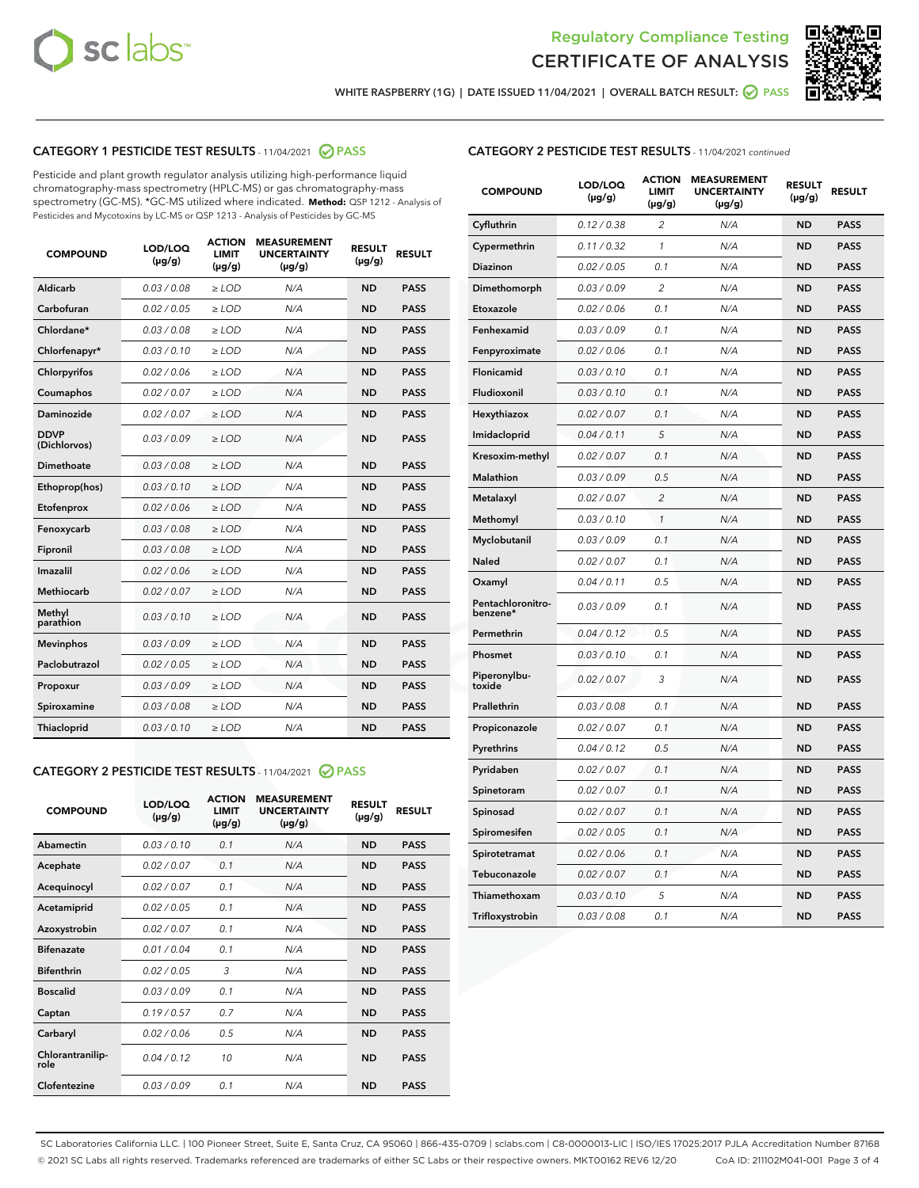



WHITE RASPBERRY (1G) | DATE ISSUED 11/04/2021 | OVERALL BATCH RESULT: @ PASS

# CATEGORY 1 PESTICIDE TEST RESULTS - 11/04/2021 2 PASS

Pesticide and plant growth regulator analysis utilizing high-performance liquid chromatography-mass spectrometry (HPLC-MS) or gas chromatography-mass spectrometry (GC-MS). \*GC-MS utilized where indicated. **Method:** QSP 1212 - Analysis of Pesticides and Mycotoxins by LC-MS or QSP 1213 - Analysis of Pesticides by GC-MS

| <b>COMPOUND</b>             | LOD/LOQ<br>$(\mu g/g)$ | <b>ACTION</b><br><b>LIMIT</b><br>$(\mu g/g)$ | <b>MEASUREMENT</b><br><b>UNCERTAINTY</b><br>$(\mu g/g)$ | <b>RESULT</b><br>$(\mu g/g)$ | <b>RESULT</b> |
|-----------------------------|------------------------|----------------------------------------------|---------------------------------------------------------|------------------------------|---------------|
| Aldicarb                    | 0.03 / 0.08            | $\ge$ LOD                                    | N/A                                                     | <b>ND</b>                    | <b>PASS</b>   |
| Carbofuran                  | 0.02 / 0.05            | $\ge$ LOD                                    | N/A                                                     | <b>ND</b>                    | <b>PASS</b>   |
| Chlordane*                  | 0.03 / 0.08            | $\ge$ LOD                                    | N/A                                                     | <b>ND</b>                    | <b>PASS</b>   |
| Chlorfenapyr*               | 0.03/0.10              | $\ge$ LOD                                    | N/A                                                     | <b>ND</b>                    | <b>PASS</b>   |
| Chlorpyrifos                | 0.02 / 0.06            | $\ge$ LOD                                    | N/A                                                     | <b>ND</b>                    | <b>PASS</b>   |
| Coumaphos                   | 0.02 / 0.07            | $\ge$ LOD                                    | N/A                                                     | <b>ND</b>                    | <b>PASS</b>   |
| Daminozide                  | 0.02 / 0.07            | $\ge$ LOD                                    | N/A                                                     | <b>ND</b>                    | <b>PASS</b>   |
| <b>DDVP</b><br>(Dichlorvos) | 0.03/0.09              | $>$ LOD                                      | N/A                                                     | <b>ND</b>                    | <b>PASS</b>   |
| Dimethoate                  | 0.03 / 0.08            | $\ge$ LOD                                    | N/A                                                     | <b>ND</b>                    | <b>PASS</b>   |
| Ethoprop(hos)               | 0.03/0.10              | $>$ LOD                                      | N/A                                                     | <b>ND</b>                    | <b>PASS</b>   |
| Etofenprox                  | 0.02 / 0.06            | $\ge$ LOD                                    | N/A                                                     | <b>ND</b>                    | <b>PASS</b>   |
| Fenoxycarb                  | 0.03 / 0.08            | $\ge$ LOD                                    | N/A                                                     | <b>ND</b>                    | <b>PASS</b>   |
| Fipronil                    | 0.03/0.08              | $\ge$ LOD                                    | N/A                                                     | <b>ND</b>                    | <b>PASS</b>   |
| Imazalil                    | 0.02 / 0.06            | $\geq$ LOD                                   | N/A                                                     | <b>ND</b>                    | <b>PASS</b>   |
| <b>Methiocarb</b>           | 0.02 / 0.07            | $\ge$ LOD                                    | N/A                                                     | <b>ND</b>                    | <b>PASS</b>   |
| Methyl<br>parathion         | 0.03/0.10              | $\ge$ LOD                                    | N/A                                                     | <b>ND</b>                    | <b>PASS</b>   |
| <b>Mevinphos</b>            | 0.03/0.09              | $\ge$ LOD                                    | N/A                                                     | <b>ND</b>                    | <b>PASS</b>   |
| Paclobutrazol               | 0.02 / 0.05            | $>$ LOD                                      | N/A                                                     | <b>ND</b>                    | <b>PASS</b>   |
| Propoxur                    | 0.03 / 0.09            | $\ge$ LOD                                    | N/A                                                     | <b>ND</b>                    | <b>PASS</b>   |
| Spiroxamine                 | 0.03 / 0.08            | $\ge$ LOD                                    | N/A                                                     | <b>ND</b>                    | <b>PASS</b>   |
| Thiacloprid                 | 0.03/0.10              | $\ge$ LOD                                    | N/A                                                     | <b>ND</b>                    | <b>PASS</b>   |

#### CATEGORY 2 PESTICIDE TEST RESULTS - 11/04/2021 @ PASS

| <b>COMPOUND</b>          | LOD/LOO<br>$(\mu g/g)$ | <b>ACTION</b><br>LIMIT<br>$(\mu g/g)$ | <b>MEASUREMENT</b><br><b>UNCERTAINTY</b><br>$(\mu g/g)$ | <b>RESULT</b><br>$(\mu g/g)$ | <b>RESULT</b> |  |
|--------------------------|------------------------|---------------------------------------|---------------------------------------------------------|------------------------------|---------------|--|
| Abamectin                | 0.03/0.10              | 0.1                                   | N/A                                                     | <b>ND</b>                    | <b>PASS</b>   |  |
| Acephate                 | 0.02/0.07              | 0.1                                   | N/A                                                     | <b>ND</b>                    | <b>PASS</b>   |  |
| Acequinocyl              | 0.02/0.07              | 0.1                                   | N/A                                                     | <b>ND</b>                    | <b>PASS</b>   |  |
| Acetamiprid              | 0.02 / 0.05            | 0.1                                   | N/A                                                     | <b>ND</b>                    | <b>PASS</b>   |  |
| Azoxystrobin             | 0.02/0.07              | 0.1                                   | N/A                                                     | <b>ND</b>                    | <b>PASS</b>   |  |
| <b>Bifenazate</b>        | 0.01 / 0.04            | 0.1                                   | N/A                                                     | <b>ND</b>                    | <b>PASS</b>   |  |
| <b>Bifenthrin</b>        | 0.02 / 0.05            | 3                                     | N/A                                                     | <b>ND</b>                    | <b>PASS</b>   |  |
| <b>Boscalid</b>          | 0.03/0.09              | 0.1                                   | N/A                                                     | <b>ND</b>                    | <b>PASS</b>   |  |
| Captan                   | 0.19/0.57              | 0.7                                   | N/A                                                     | <b>ND</b>                    | <b>PASS</b>   |  |
| Carbaryl                 | 0.02/0.06              | 0.5                                   | N/A                                                     | <b>ND</b>                    | <b>PASS</b>   |  |
| Chlorantranilip-<br>role | 0.04/0.12              | 10                                    | N/A                                                     | <b>ND</b>                    | <b>PASS</b>   |  |
| Clofentezine             | 0.03/0.09              | 0.1                                   | N/A                                                     | <b>ND</b>                    | <b>PASS</b>   |  |

| <b>CATEGORY 2 PESTICIDE TEST RESULTS</b> - 11/04/2021 continued |  |
|-----------------------------------------------------------------|--|
|                                                                 |  |

| <b>COMPOUND</b>               | LOD/LOQ<br>(µg/g) | <b>ACTION</b><br>LIMIT<br>$(\mu g/g)$ | <b>MEASUREMENT</b><br><b>UNCERTAINTY</b><br>$(\mu g/g)$ | <b>RESULT</b><br>(µg/g) | <b>RESULT</b> |
|-------------------------------|-------------------|---------------------------------------|---------------------------------------------------------|-------------------------|---------------|
| Cyfluthrin                    | 0.12 / 0.38       | 2                                     | N/A                                                     | <b>ND</b>               | <b>PASS</b>   |
| Cypermethrin                  | 0.11 / 0.32       | $\mathcal{I}$                         | N/A                                                     | <b>ND</b>               | <b>PASS</b>   |
| Diazinon                      | 0.02 / 0.05       | 0.1                                   | N/A                                                     | <b>ND</b>               | <b>PASS</b>   |
| Dimethomorph                  | 0.03 / 0.09       | 2                                     | N/A                                                     | <b>ND</b>               | <b>PASS</b>   |
| Etoxazole                     | 0.02 / 0.06       | 0.1                                   | N/A                                                     | <b>ND</b>               | <b>PASS</b>   |
| Fenhexamid                    | 0.03 / 0.09       | 0.1                                   | N/A                                                     | <b>ND</b>               | <b>PASS</b>   |
| Fenpyroximate                 | 0.02 / 0.06       | 0.1                                   | N/A                                                     | <b>ND</b>               | <b>PASS</b>   |
| Flonicamid                    | 0.03 / 0.10       | 0.1                                   | N/A                                                     | <b>ND</b>               | <b>PASS</b>   |
| Fludioxonil                   | 0.03 / 0.10       | 0.1                                   | N/A                                                     | <b>ND</b>               | <b>PASS</b>   |
| Hexythiazox                   | 0.02 / 0.07       | 0.1                                   | N/A                                                     | <b>ND</b>               | <b>PASS</b>   |
| Imidacloprid                  | 0.04 / 0.11       | 5                                     | N/A                                                     | <b>ND</b>               | <b>PASS</b>   |
| Kresoxim-methyl               | 0.02 / 0.07       | 0.1                                   | N/A                                                     | <b>ND</b>               | <b>PASS</b>   |
| Malathion                     | 0.03 / 0.09       | 0.5                                   | N/A                                                     | <b>ND</b>               | <b>PASS</b>   |
| Metalaxyl                     | 0.02 / 0.07       | $\overline{c}$                        | N/A                                                     | <b>ND</b>               | <b>PASS</b>   |
| Methomyl                      | 0.03 / 0.10       | $\mathcal{I}$                         | N/A                                                     | <b>ND</b>               | <b>PASS</b>   |
| Myclobutanil                  | 0.03 / 0.09       | 0.1                                   | N/A                                                     | <b>ND</b>               | <b>PASS</b>   |
| Naled                         | 0.02 / 0.07       | 0.1                                   | N/A                                                     | <b>ND</b>               | <b>PASS</b>   |
| Oxamyl                        | 0.04 / 0.11       | 0.5                                   | N/A                                                     | <b>ND</b>               | <b>PASS</b>   |
| Pentachloronitro-<br>benzene* | 0.03/0.09         | 0.1                                   | N/A                                                     | <b>ND</b>               | <b>PASS</b>   |
| Permethrin                    | 0.04 / 0.12       | 0.5                                   | N/A                                                     | <b>ND</b>               | <b>PASS</b>   |
| Phosmet                       | 0.03 / 0.10       | 0.1                                   | N/A                                                     | <b>ND</b>               | <b>PASS</b>   |
| Piperonylbu-<br>toxide        | 0.02 / 0.07       | 3                                     | N/A                                                     | <b>ND</b>               | <b>PASS</b>   |
| Prallethrin                   | 0.03 / 0.08       | 0.1                                   | N/A                                                     | <b>ND</b>               | <b>PASS</b>   |
| Propiconazole                 | 0.02 / 0.07       | 0.1                                   | N/A                                                     | <b>ND</b>               | <b>PASS</b>   |
| Pyrethrins                    | 0.04 / 0.12       | 0.5                                   | N/A                                                     | <b>ND</b>               | <b>PASS</b>   |
| Pyridaben                     | 0.02 / 0.07       | 0.1                                   | N/A                                                     | <b>ND</b>               | <b>PASS</b>   |
| Spinetoram                    | 0.02 / 0.07       | 0.1                                   | N/A                                                     | <b>ND</b>               | <b>PASS</b>   |
| Spinosad                      | 0.02 / 0.07       | 0.1                                   | N/A                                                     | <b>ND</b>               | <b>PASS</b>   |
| Spiromesifen                  | 0.02 / 0.05       | 0.1                                   | N/A                                                     | <b>ND</b>               | <b>PASS</b>   |
| Spirotetramat                 | 0.02 / 0.06       | 0.1                                   | N/A                                                     | <b>ND</b>               | <b>PASS</b>   |
| Tebuconazole                  | 0.02 / 0.07       | 0.1                                   | N/A                                                     | <b>ND</b>               | <b>PASS</b>   |
| Thiamethoxam                  | 0.03 / 0.10       | 5                                     | N/A                                                     | <b>ND</b>               | <b>PASS</b>   |
| Trifloxystrobin               | 0.03 / 0.08       | 0.1                                   | N/A                                                     | <b>ND</b>               | <b>PASS</b>   |

SC Laboratories California LLC. | 100 Pioneer Street, Suite E, Santa Cruz, CA 95060 | 866-435-0709 | sclabs.com | C8-0000013-LIC | ISO/IES 17025:2017 PJLA Accreditation Number 87168 © 2021 SC Labs all rights reserved. Trademarks referenced are trademarks of either SC Labs or their respective owners. MKT00162 REV6 12/20 CoA ID: 211102M041-001 Page 3 of 4